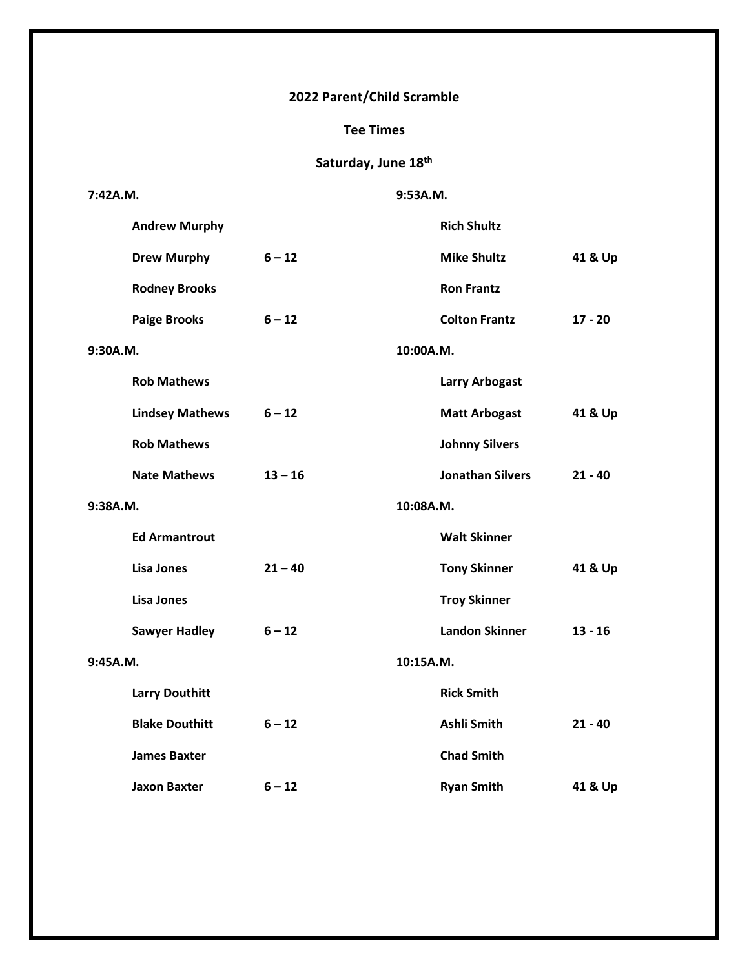## **2022 Parent/Child Scramble**

## **Tee Times**

## **Saturday, June 18th**

| <b>Andrew Murphy</b>   |           |           |                         |                                                                                                                                                                             |
|------------------------|-----------|-----------|-------------------------|-----------------------------------------------------------------------------------------------------------------------------------------------------------------------------|
| <b>Drew Murphy</b>     | $6 - 12$  |           |                         | 41 & Up                                                                                                                                                                     |
| <b>Rodney Brooks</b>   |           |           |                         |                                                                                                                                                                             |
| <b>Paige Brooks</b>    | $6 - 12$  |           |                         | $17 - 20$                                                                                                                                                                   |
|                        | 10:00A.M. |           |                         |                                                                                                                                                                             |
| <b>Rob Mathews</b>     |           |           |                         |                                                                                                                                                                             |
| <b>Lindsey Mathews</b> | $6 - 12$  |           |                         | 41 & Up                                                                                                                                                                     |
| <b>Rob Mathews</b>     |           |           |                         |                                                                                                                                                                             |
|                        |           |           | <b>Jonathan Silvers</b> | $21 - 40$                                                                                                                                                                   |
| <b>Nate Mathews</b>    | $13 - 16$ |           |                         |                                                                                                                                                                             |
| 9:38A.M.               |           | 10:08A.M. |                         |                                                                                                                                                                             |
| <b>Ed Armantrout</b>   |           |           | <b>Walt Skinner</b>     |                                                                                                                                                                             |
| <b>Lisa Jones</b>      | $21 - 40$ |           | <b>Tony Skinner</b>     | 41 & Up                                                                                                                                                                     |
| <b>Lisa Jones</b>      |           |           | <b>Troy Skinner</b>     |                                                                                                                                                                             |
| <b>Sawyer Hadley</b>   | $6 - 12$  |           | <b>Landon Skinner</b>   | $13 - 16$                                                                                                                                                                   |
| 9:45A.M.               |           | 10:15A.M. |                         |                                                                                                                                                                             |
| <b>Larry Douthitt</b>  |           |           | <b>Rick Smith</b>       |                                                                                                                                                                             |
| <b>Blake Douthitt</b>  | $6 - 12$  |           | Ashli Smith             | $21 - 40$                                                                                                                                                                   |
| <b>James Baxter</b>    |           |           | <b>Chad Smith</b>       |                                                                                                                                                                             |
|                        | 9:30A.M.  | 7:42A.M.  |                         | 9:53A.M.<br><b>Rich Shultz</b><br><b>Mike Shultz</b><br><b>Ron Frantz</b><br><b>Colton Frantz</b><br><b>Larry Arbogast</b><br><b>Matt Arbogast</b><br><b>Johnny Silvers</b> |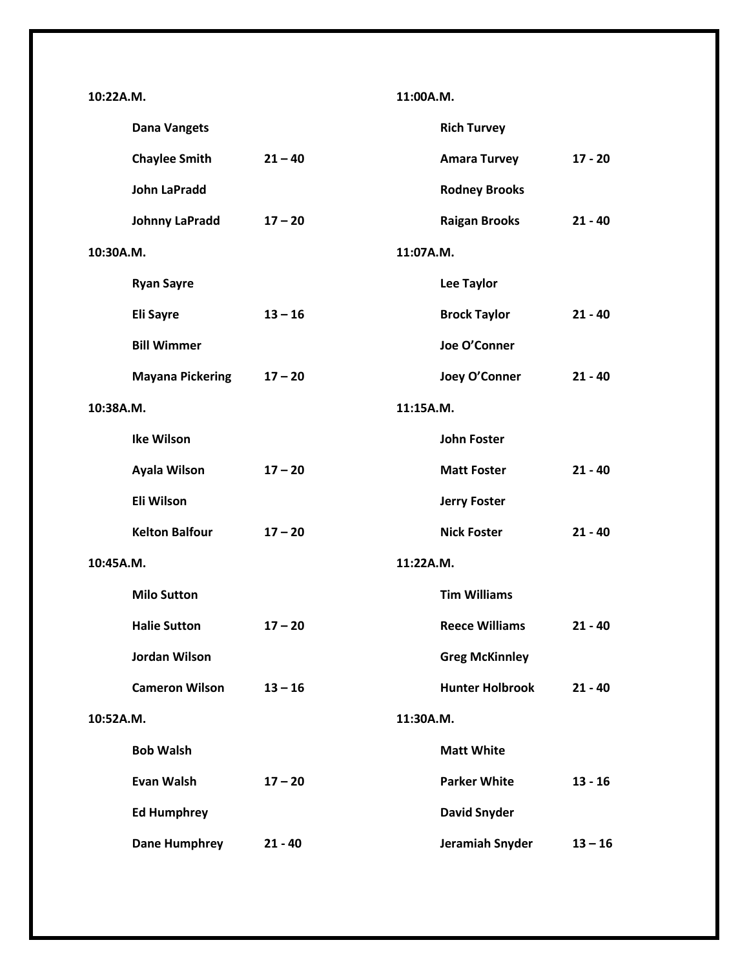| 10:22A.M.               |           |                        | 11:00A.M. |  |  |
|-------------------------|-----------|------------------------|-----------|--|--|
| <b>Dana Vangets</b>     |           | <b>Rich Turvey</b>     |           |  |  |
| <b>Chaylee Smith</b>    | $21 - 40$ | <b>Amara Turvey</b>    | $17 - 20$ |  |  |
| <b>John LaPradd</b>     |           | <b>Rodney Brooks</b>   |           |  |  |
| <b>Johnny LaPradd</b>   | $17 - 20$ | <b>Raigan Brooks</b>   | $21 - 40$ |  |  |
| 10:30A.M.               |           | 11:07A.M.              |           |  |  |
| <b>Ryan Sayre</b>       |           | Lee Taylor             |           |  |  |
| <b>Eli Sayre</b>        | $13 - 16$ | <b>Brock Taylor</b>    | $21 - 40$ |  |  |
| <b>Bill Wimmer</b>      |           | Joe O'Conner           |           |  |  |
| <b>Mayana Pickering</b> | $17 - 20$ | Joey O'Conner          | $21 - 40$ |  |  |
| 10:38A.M.               |           | 11:15A.M.              |           |  |  |
| <b>Ike Wilson</b>       |           | <b>John Foster</b>     |           |  |  |
| <b>Ayala Wilson</b>     | $17 - 20$ | <b>Matt Foster</b>     | $21 - 40$ |  |  |
| Eli Wilson              |           | <b>Jerry Foster</b>    |           |  |  |
| <b>Kelton Balfour</b>   | $17 - 20$ | <b>Nick Foster</b>     | $21 - 40$ |  |  |
| 10:45A.M.               | 11:22A.M. |                        |           |  |  |
| <b>Milo Sutton</b>      |           | <b>Tim Williams</b>    |           |  |  |
| <b>Halie Sutton</b>     | $17 - 20$ | <b>Reece Williams</b>  | $21 - 40$ |  |  |
| <b>Jordan Wilson</b>    |           | <b>Greg McKinnley</b>  |           |  |  |
| <b>Cameron Wilson</b>   | $13 - 16$ | <b>Hunter Holbrook</b> | $21 - 40$ |  |  |
| 10:52A.M.               |           | 11:30A.M.              |           |  |  |
| <b>Bob Walsh</b>        |           | <b>Matt White</b>      |           |  |  |
| <b>Evan Walsh</b>       | $17 - 20$ | <b>Parker White</b>    | $13 - 16$ |  |  |
| <b>Ed Humphrey</b>      |           | <b>David Snyder</b>    |           |  |  |
| <b>Dane Humphrey</b>    | $21 - 40$ | Jeramiah Snyder        | $13 - 16$ |  |  |